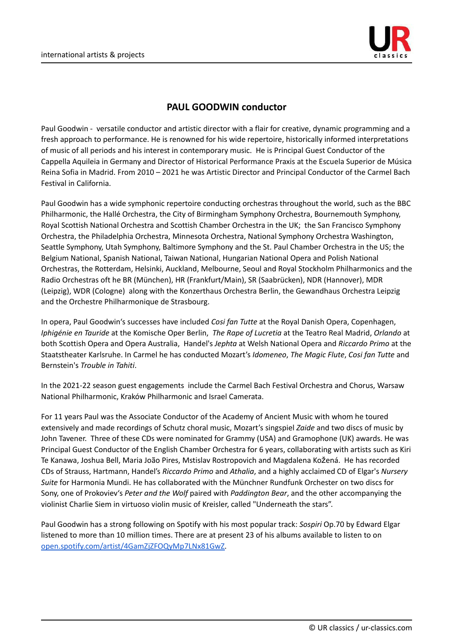

## **PAUL GOODWIN conductor**

Paul Goodwin - versatile conductor and artistic director with a flair for creative, dynamic programming and a fresh approach to performance. He is renowned for his wide repertoire, historically informed interpretations of music of all periods and his interest in contemporary music. He is Principal Guest Conductor of the Cappella Aquileia in Germany and Director of Historical Performance Praxis at the Escuela Superior de Música Reina Sofia in Madrid. From 2010 – 2021 he was Artistic Director and Principal Conductor of the Carmel Bach Festival in California.

Paul Goodwin has a wide symphonic repertoire conducting orchestras throughout the world, such as the BBC Philharmonic, the Hallé Orchestra, the City of Birmingham Symphony Orchestra, Bournemouth Symphony, Royal Scottish National Orchestra and Scottish Chamber Orchestra in the UK; the San Francisco Symphony Orchestra, the Philadelphia Orchestra, Minnesota Orchestra, National Symphony Orchestra Washington, Seattle Symphony, Utah Symphony, Baltimore Symphony and the St. Paul Chamber Orchestra in the US; the Belgium National, Spanish National, Taiwan National, Hungarian National Opera and Polish National Orchestras, the Rotterdam, Helsinki, Auckland, Melbourne, Seoul and Royal Stockholm Philharmonics and the Radio Orchestras oft he BR (München), HR (Frankfurt/Main), SR (Saabrücken), NDR (Hannover), MDR (Leipzig), WDR (Cologne) along with the Konzerthaus Orchestra Berlin, the Gewandhaus Orchestra Leipzig and the Orchestre Philharmonique de Strasbourg.

In opera, Paul Goodwin's successes have included *Cosi fan Tutte* at the Royal Danish Opera, Copenhagen, *Iphigénie en Tauride* at the Komische Oper Berlin, *The Rape of Lucretia* at the Teatro Real Madrid, *Orlando* at both Scottish Opera and Opera Australia, Handel's *Jephta* at Welsh National Opera and *Riccardo Primo* at the Staatstheater Karlsruhe. In Carmel he has conducted Mozart's *Idomeneo*, *The Magic Flute*, *Cosi fan Tutte* and Bernstein's *Trouble in Tahiti*.

In the 2021-22 season guest engagements include the Carmel Bach Festival Orchestra and Chorus, Warsaw National Philharmonic, Kraków Philharmonic and Israel Camerata.

For 11 years Paul was the Associate Conductor of the Academy of Ancient Music with whom he toured extensively and made recordings of Schutz choral music, Mozart's singspiel *Zaide* and two discs of music by John Tavener. Three of these CDs were nominated for Grammy (USA) and Gramophone (UK) awards. He was Principal Guest Conductor of the English Chamber Orchestra for 6 years, collaborating with artists such as Kiri Te Kanawa, Joshua Bell, Maria João Pires, Mstislav Rostropovich and Magdalena Kožená. He has recorded CDs of Strauss, Hartmann, Handel's *Riccardo Primo* and *Athalia*, and a highly acclaimed CD of Elgar's *Nursery Suite* for Harmonia Mundi. He has collaborated with the Münchner Rundfunk Orchester on two discs for Sony, one of Prokoviev's *Peter and the Wolf* paired with *Paddington Bear*, and the other accompanying the violinist Charlie Siem in virtuoso violin music of Kreisler, called "Underneath the stars".

Paul Goodwin has a strong following on Spotify with his most popular track: *Sospiri* Op.70 by Edward Elgar listened to more than 10 million times. There are at present 23 of his albums available to listen to on [open.spotify.com/artist/4GamZjZFOQyMp7LNx81GwZ.](https://open.spotify.com/artist/4GamZjZFOQyMp7LNx81GwZ)